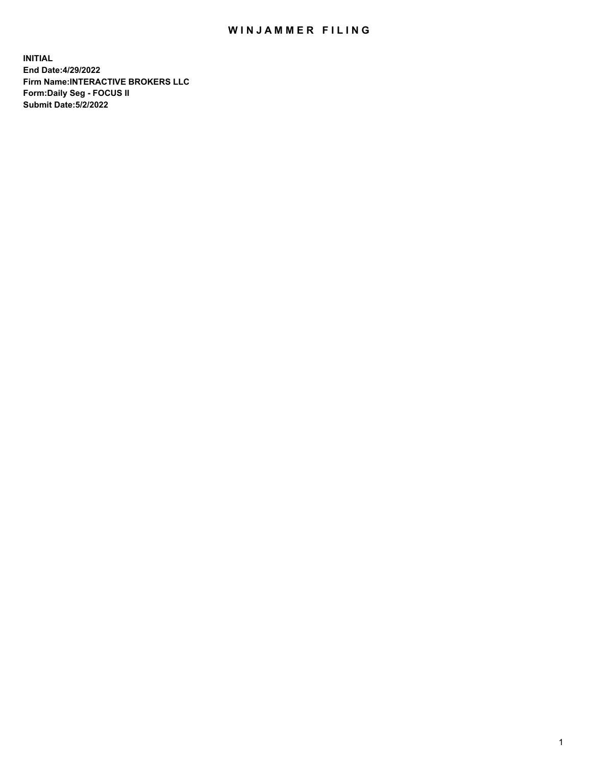## WIN JAMMER FILING

**INITIAL End Date:4/29/2022 Firm Name:INTERACTIVE BROKERS LLC Form:Daily Seg - FOCUS II Submit Date:5/2/2022**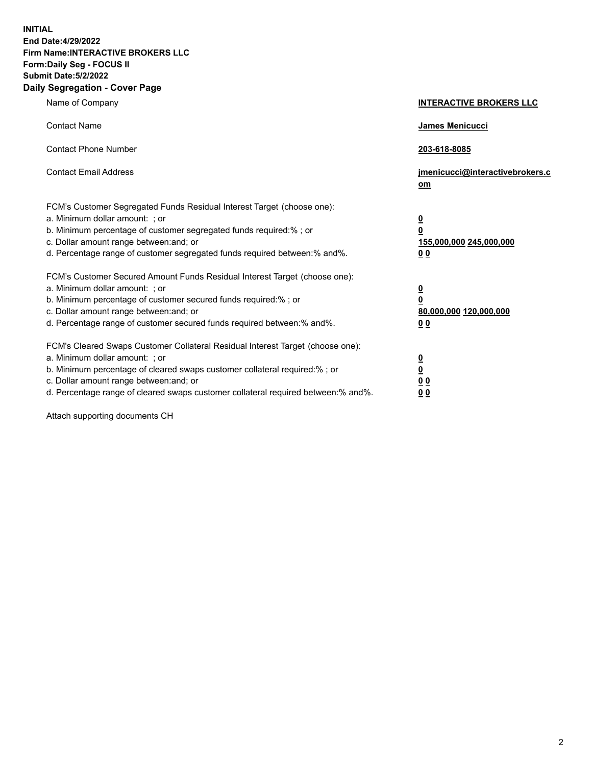**INITIAL End Date:4/29/2022 Firm Name:INTERACTIVE BROKERS LLC Form:Daily Seg - FOCUS II Submit Date:5/2/2022 Daily Segregation - Cover Page**

| Name of Company                                                                                                                                                                                                                                                                                                                | <b>INTERACTIVE BROKERS LLC</b>                                                      |
|--------------------------------------------------------------------------------------------------------------------------------------------------------------------------------------------------------------------------------------------------------------------------------------------------------------------------------|-------------------------------------------------------------------------------------|
| <b>Contact Name</b>                                                                                                                                                                                                                                                                                                            | James Menicucci                                                                     |
| <b>Contact Phone Number</b>                                                                                                                                                                                                                                                                                                    | 203-618-8085                                                                        |
| <b>Contact Email Address</b>                                                                                                                                                                                                                                                                                                   | jmenicucci@interactivebrokers.c<br>om                                               |
| FCM's Customer Segregated Funds Residual Interest Target (choose one):<br>a. Minimum dollar amount: : or<br>b. Minimum percentage of customer segregated funds required:% ; or<br>c. Dollar amount range between: and; or<br>d. Percentage range of customer segregated funds required between:% and%.                         | $\overline{\mathbf{0}}$<br>$\overline{\mathbf{0}}$<br>155,000,000 245,000,000<br>00 |
| FCM's Customer Secured Amount Funds Residual Interest Target (choose one):<br>a. Minimum dollar amount: ; or<br>b. Minimum percentage of customer secured funds required:% ; or<br>c. Dollar amount range between: and; or<br>d. Percentage range of customer secured funds required between:% and%.                           | $\overline{\mathbf{0}}$<br>0<br>80,000,000 120,000,000<br>0 <sub>0</sub>            |
| FCM's Cleared Swaps Customer Collateral Residual Interest Target (choose one):<br>a. Minimum dollar amount: ; or<br>b. Minimum percentage of cleared swaps customer collateral required:% ; or<br>c. Dollar amount range between: and; or<br>d. Percentage range of cleared swaps customer collateral required between:% and%. | <u>0</u><br><u>0</u><br>0 <sub>0</sub><br>0 <sub>0</sub>                            |

Attach supporting documents CH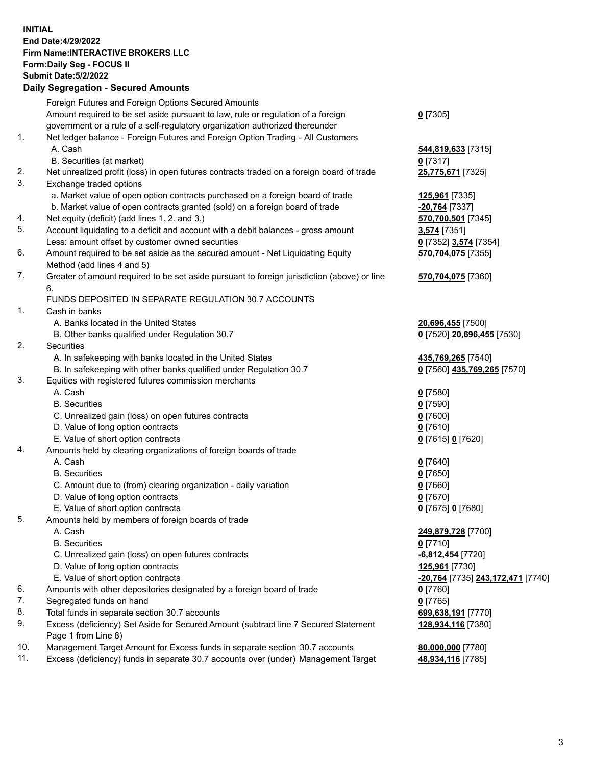**INITIAL End Date:4/29/2022 Firm Name:INTERACTIVE BROKERS LLC Form:Daily Seg - FOCUS II Submit Date:5/2/2022 Daily Segregation - Secured Amounts**

|     | Foreign Futures and Foreign Options Secured Amounts                                         |                                          |
|-----|---------------------------------------------------------------------------------------------|------------------------------------------|
|     | Amount required to be set aside pursuant to law, rule or regulation of a foreign            | $0$ [7305]                               |
|     | government or a rule of a self-regulatory organization authorized thereunder                |                                          |
| 1.  | Net ledger balance - Foreign Futures and Foreign Option Trading - All Customers             |                                          |
|     | A. Cash                                                                                     | 544,819,633 [7315]                       |
|     | B. Securities (at market)                                                                   | $0$ [7317]                               |
| 2.  | Net unrealized profit (loss) in open futures contracts traded on a foreign board of trade   | 25,775,671 [7325]                        |
| 3.  | Exchange traded options                                                                     |                                          |
|     | a. Market value of open option contracts purchased on a foreign board of trade              | 125,961 [7335]                           |
|     | b. Market value of open contracts granted (sold) on a foreign board of trade                | -20,764 [7337]                           |
| 4.  | Net equity (deficit) (add lines 1.2. and 3.)                                                | 570,700,501 [7345]                       |
| 5.  | Account liquidating to a deficit and account with a debit balances - gross amount           | 3,574 [7351]                             |
|     | Less: amount offset by customer owned securities                                            | 0 [7352] 3.574 [7354]                    |
| 6.  | Amount required to be set aside as the secured amount - Net Liquidating Equity              | 570,704,075 [7355]                       |
|     | Method (add lines 4 and 5)                                                                  |                                          |
| 7.  | Greater of amount required to be set aside pursuant to foreign jurisdiction (above) or line | 570,704,075 [7360]                       |
|     | 6.                                                                                          |                                          |
|     | FUNDS DEPOSITED IN SEPARATE REGULATION 30.7 ACCOUNTS                                        |                                          |
| 1.  | Cash in banks                                                                               |                                          |
|     | A. Banks located in the United States                                                       | 20,696,455 [7500]                        |
|     | B. Other banks qualified under Regulation 30.7                                              | 0 [7520] 20,696,455 [7530]               |
| 2.  | Securities                                                                                  |                                          |
|     | A. In safekeeping with banks located in the United States                                   | 435,769,265 [7540]                       |
|     | B. In safekeeping with other banks qualified under Regulation 30.7                          | 0 [7560] 435,769,265 [7570]              |
| 3.  | Equities with registered futures commission merchants                                       |                                          |
|     | A. Cash                                                                                     | $0$ [7580]                               |
|     | <b>B.</b> Securities                                                                        | $0$ [7590]                               |
|     | C. Unrealized gain (loss) on open futures contracts                                         | $0$ [7600]                               |
|     | D. Value of long option contracts                                                           | $0$ [7610]                               |
|     | E. Value of short option contracts                                                          | 0 [7615] 0 [7620]                        |
| 4.  | Amounts held by clearing organizations of foreign boards of trade                           |                                          |
|     | A. Cash                                                                                     | $0$ [7640]                               |
|     | <b>B.</b> Securities                                                                        | $0$ [7650]                               |
|     | C. Amount due to (from) clearing organization - daily variation                             | $0$ [7660]                               |
|     | D. Value of long option contracts                                                           | $0$ [7670]                               |
|     | E. Value of short option contracts                                                          | 0 [7675] 0 [7680]                        |
| 5.  | Amounts held by members of foreign boards of trade                                          |                                          |
|     | A. Cash                                                                                     | 249,879,728 [7700]                       |
|     | <b>B.</b> Securities                                                                        | $0$ [7710]                               |
|     | C. Unrealized gain (loss) on open futures contracts                                         | -6,812,454 [7720]                        |
|     | D. Value of long option contracts                                                           | 125,961 [7730]                           |
|     | E. Value of short option contracts                                                          | <u>-20,764</u> [7735] 243,172,471 [7740] |
| 6.  | Amounts with other depositories designated by a foreign board of trade                      | $0$ [7760]                               |
| 7.  | Segregated funds on hand                                                                    | $0$ [7765]                               |
| 8.  | Total funds in separate section 30.7 accounts                                               | 699,638,191 [7770]                       |
| 9.  | Excess (deficiency) Set Aside for Secured Amount (subtract line 7 Secured Statement         | 128,934,116 [7380]                       |
|     | Page 1 from Line 8)                                                                         |                                          |
| 10. | Management Target Amount for Excess funds in separate section 30.7 accounts                 | 80,000,000 [7780]                        |
| 11. | Excess (deficiency) funds in separate 30.7 accounts over (under) Management Target          | 48,934,116 [7785]                        |
|     |                                                                                             |                                          |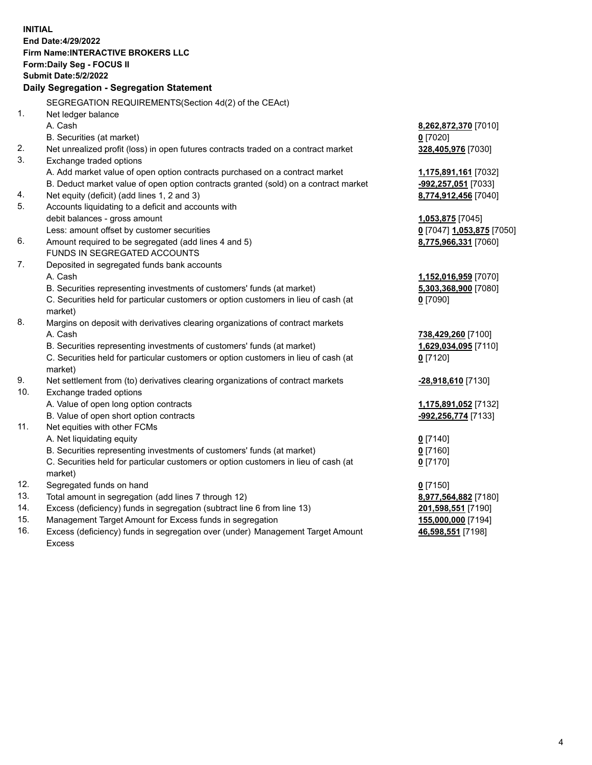**INITIAL End Date:4/29/2022 Firm Name:INTERACTIVE BROKERS LLC Form:Daily Seg - FOCUS II Submit Date:5/2/2022 Daily Segregation - Segregation Statement** SEGREGATION REQUIREMENTS(Section 4d(2) of the CEAct) 1. Net ledger balance A. Cash **8,262,872,370** [7010] B. Securities (at market) **0** [7020] 2. Net unrealized profit (loss) in open futures contracts traded on a contract market **328,405,976** [7030] 3. Exchange traded options A. Add market value of open option contracts purchased on a contract market **1,175,891,161** [7032] B. Deduct market value of open option contracts granted (sold) on a contract market **-992,257,051** [7033] 4. Net equity (deficit) (add lines 1, 2 and 3) **8,774,912,456** [7040] 5. Accounts liquidating to a deficit and accounts with debit balances - gross amount **1,053,875** [7045] Less: amount offset by customer securities **0** [7047] **1,053,875** [7050] 6. Amount required to be segregated (add lines 4 and 5) **8,775,966,331** [7060] FUNDS IN SEGREGATED ACCOUNTS 7. Deposited in segregated funds bank accounts A. Cash **1,152,016,959** [7070] B. Securities representing investments of customers' funds (at market) **5,303,368,900** [7080] C. Securities held for particular customers or option customers in lieu of cash (at market) **0** [7090] 8. Margins on deposit with derivatives clearing organizations of contract markets A. Cash **738,429,260** [7100] B. Securities representing investments of customers' funds (at market) **1,629,034,095** [7110] C. Securities held for particular customers or option customers in lieu of cash (at market) **0** [7120] 9. Net settlement from (to) derivatives clearing organizations of contract markets **-28,918,610** [7130] 10. Exchange traded options A. Value of open long option contracts **1,175,891,052** [7132] B. Value of open short option contracts **-992,256,774** [7133] 11. Net equities with other FCMs A. Net liquidating equity **0** [7140] B. Securities representing investments of customers' funds (at market) **0** [7160] C. Securities held for particular customers or option customers in lieu of cash (at market) **0** [7170] 12. Segregated funds on hand **0** [7150] 13. Total amount in segregation (add lines 7 through 12) **8,977,564,882** [7180] 14. Excess (deficiency) funds in segregation (subtract line 6 from line 13) **201,598,551** [7190] 15. Management Target Amount for Excess funds in segregation **155,000,000** [7194] 16. Excess (deficiency) funds in segregation over (under) Management Target Amount **46,598,551** [7198]

Excess